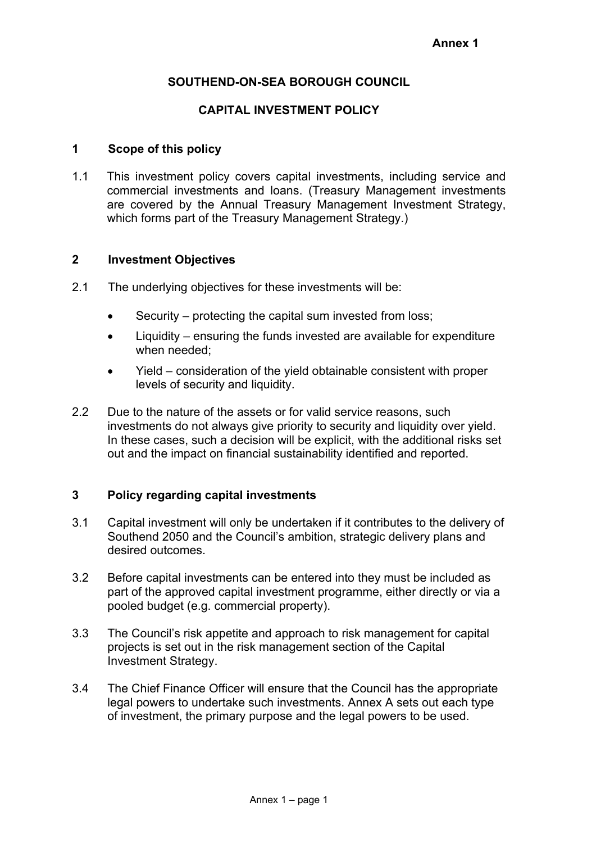### **SOUTHEND-ON-SEA BOROUGH COUNCIL**

#### **CAPITAL INVESTMENT POLICY**

#### **1 Scope of this policy**

1.1 This investment policy covers capital investments, including service and commercial investments and loans. (Treasury Management investments are covered by the Annual Treasury Management Investment Strategy, which forms part of the Treasury Management Strategy.)

### **2 Investment Objectives**

- 2.1 The underlying objectives for these investments will be:
	- Security protecting the capital sum invested from loss;
	- Liquidity ensuring the funds invested are available for expenditure when needed;
	- Yield consideration of the yield obtainable consistent with proper levels of security and liquidity.
- 2.2 Due to the nature of the assets or for valid service reasons, such investments do not always give priority to security and liquidity over yield. In these cases, such a decision will be explicit, with the additional risks set out and the impact on financial sustainability identified and reported.

### **3 Policy regarding capital investments**

- 3.1 Capital investment will only be undertaken if it contributes to the delivery of Southend 2050 and the Council's ambition, strategic delivery plans and desired outcomes.
- 3.2 Before capital investments can be entered into they must be included as part of the approved capital investment programme, either directly or via a pooled budget (e.g. commercial property).
- 3.3 The Council's risk appetite and approach to risk management for capital projects is set out in the risk management section of the Capital Investment Strategy.
- 3.4 The Chief Finance Officer will ensure that the Council has the appropriate legal powers to undertake such investments. Annex A sets out each type of investment, the primary purpose and the legal powers to be used.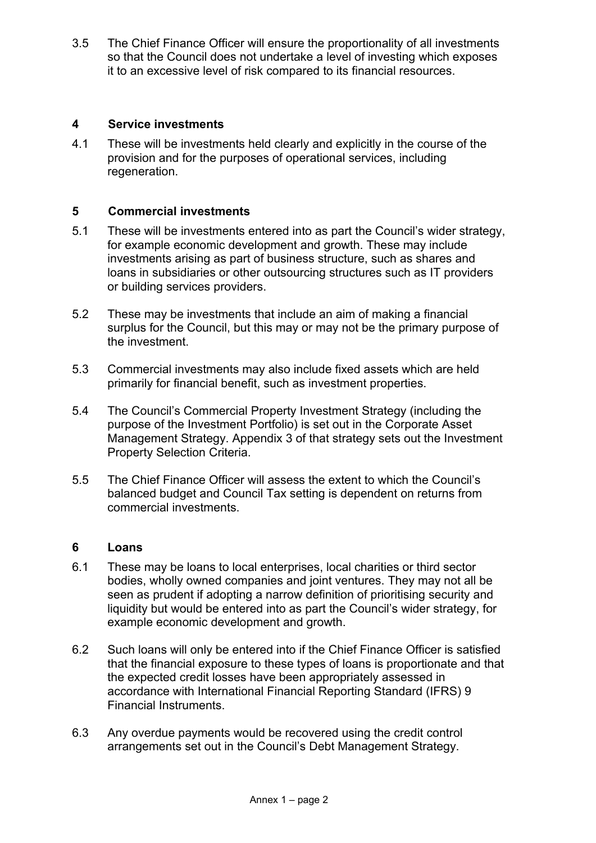3.5 The Chief Finance Officer will ensure the proportionality of all investments so that the Council does not undertake a level of investing which exposes it to an excessive level of risk compared to its financial resources.

### **4 Service investments**

4.1 These will be investments held clearly and explicitly in the course of the provision and for the purposes of operational services, including regeneration.

### **5 Commercial investments**

- 5.1 These will be investments entered into as part the Council's wider strategy, for example economic development and growth. These may include investments arising as part of business structure, such as shares and loans in subsidiaries or other outsourcing structures such as IT providers or building services providers.
- 5.2 These may be investments that include an aim of making a financial surplus for the Council, but this may or may not be the primary purpose of the investment.
- 5.3 Commercial investments may also include fixed assets which are held primarily for financial benefit, such as investment properties.
- 5.4 The Council's Commercial Property Investment Strategy (including the purpose of the Investment Portfolio) is set out in the Corporate Asset Management Strategy. Appendix 3 of that strategy sets out the Investment Property Selection Criteria.
- 5.5 The Chief Finance Officer will assess the extent to which the Council's balanced budget and Council Tax setting is dependent on returns from commercial investments.

#### **6 Loans**

- 6.1 These may be loans to local enterprises, local charities or third sector bodies, wholly owned companies and joint ventures. They may not all be seen as prudent if adopting a narrow definition of prioritising security and liquidity but would be entered into as part the Council's wider strategy, for example economic development and growth.
- 6.2 Such loans will only be entered into if the Chief Finance Officer is satisfied that the financial exposure to these types of loans is proportionate and that the expected credit losses have been appropriately assessed in accordance with International Financial Reporting Standard (IFRS) 9 Financial Instruments.
- 6.3 Any overdue payments would be recovered using the credit control arrangements set out in the Council's Debt Management Strategy.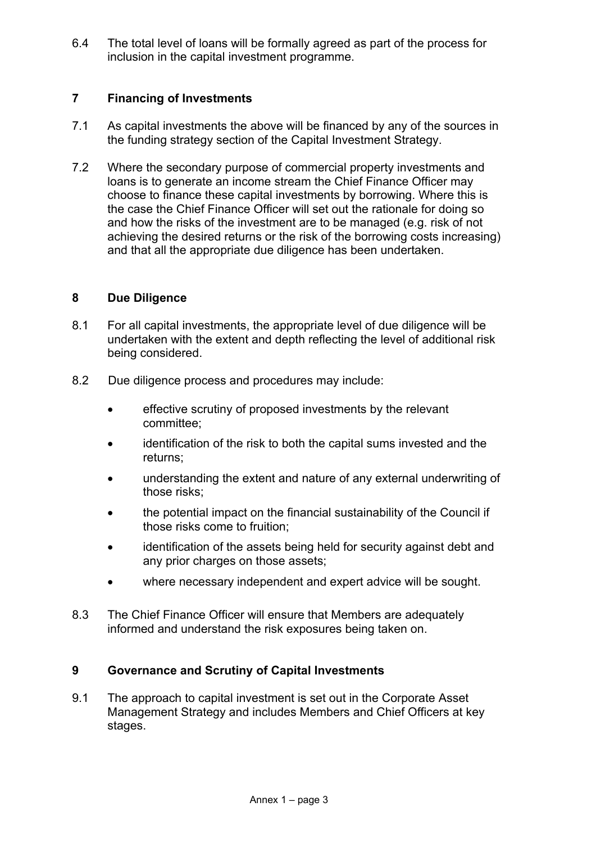6.4 The total level of loans will be formally agreed as part of the process for inclusion in the capital investment programme.

# **7 Financing of Investments**

- 7.1 As capital investments the above will be financed by any of the sources in the funding strategy section of the Capital Investment Strategy.
- 7.2 Where the secondary purpose of commercial property investments and loans is to generate an income stream the Chief Finance Officer may choose to finance these capital investments by borrowing. Where this is the case the Chief Finance Officer will set out the rationale for doing so and how the risks of the investment are to be managed (e.g. risk of not achieving the desired returns or the risk of the borrowing costs increasing) and that all the appropriate due diligence has been undertaken.

# **8 Due Diligence**

- 8.1 For all capital investments, the appropriate level of due diligence will be undertaken with the extent and depth reflecting the level of additional risk being considered.
- 8.2 Due diligence process and procedures may include:
	- effective scrutiny of proposed investments by the relevant committee;
	- identification of the risk to both the capital sums invested and the returns;
	- understanding the extent and nature of any external underwriting of those risks;
	- the potential impact on the financial sustainability of the Council if those risks come to fruition;
	- identification of the assets being held for security against debt and any prior charges on those assets;
	- where necessary independent and expert advice will be sought.
- 8.3 The Chief Finance Officer will ensure that Members are adequately informed and understand the risk exposures being taken on.

# **9 Governance and Scrutiny of Capital Investments**

9.1 The approach to capital investment is set out in the Corporate Asset Management Strategy and includes Members and Chief Officers at key stages.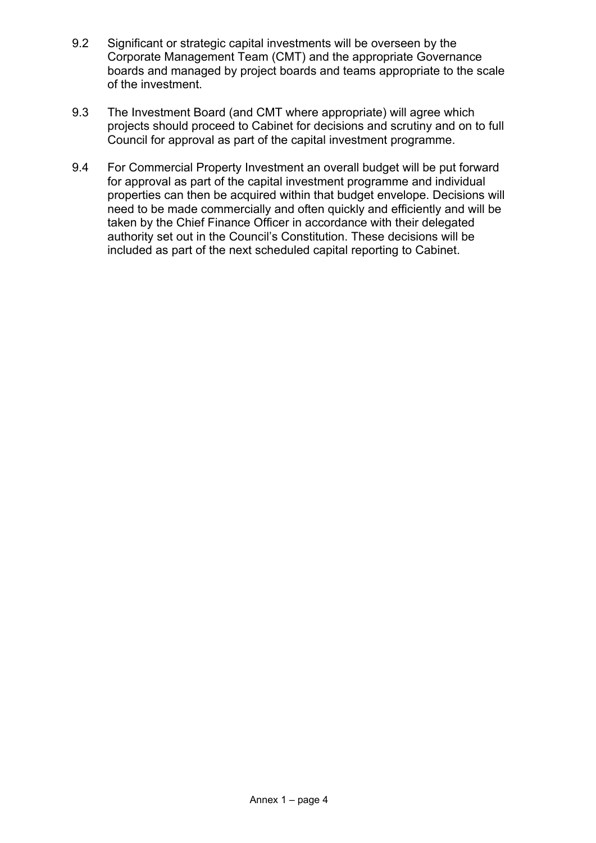- 9.2 Significant or strategic capital investments will be overseen by the Corporate Management Team (CMT) and the appropriate Governance boards and managed by project boards and teams appropriate to the scale of the investment.
- 9.3 The Investment Board (and CMT where appropriate) will agree which projects should proceed to Cabinet for decisions and scrutiny and on to full Council for approval as part of the capital investment programme.
- 9.4 For Commercial Property Investment an overall budget will be put forward for approval as part of the capital investment programme and individual properties can then be acquired within that budget envelope. Decisions will need to be made commercially and often quickly and efficiently and will be taken by the Chief Finance Officer in accordance with their delegated authority set out in the Council's Constitution. These decisions will be included as part of the next scheduled capital reporting to Cabinet.